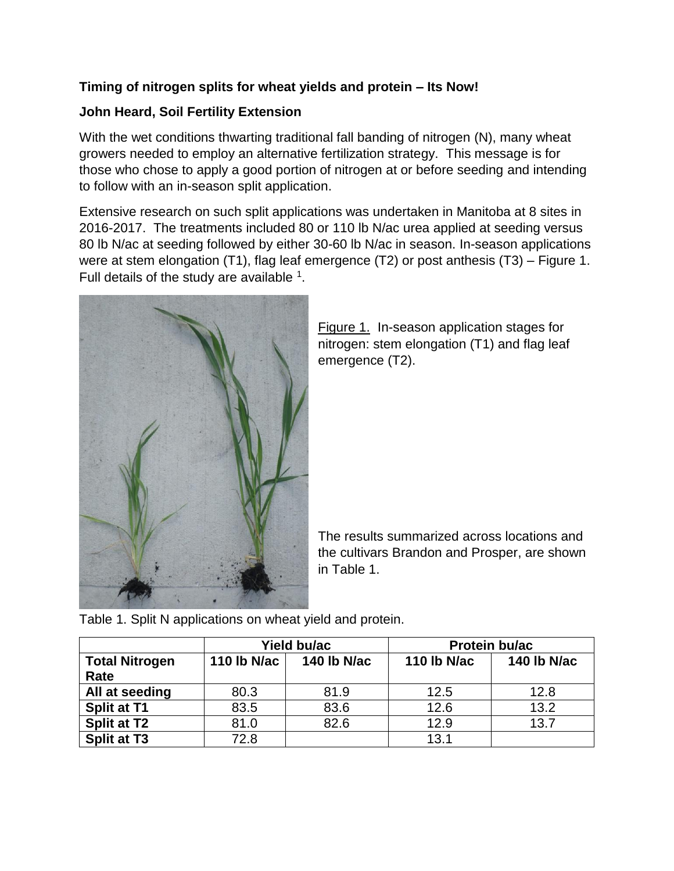## **Timing of nitrogen splits for wheat yields and protein – Its Now!**

## **John Heard, Soil Fertility Extension**

With the wet conditions thwarting traditional fall banding of nitrogen (N), many wheat growers needed to employ an alternative fertilization strategy. This message is for those who chose to apply a good portion of nitrogen at or before seeding and intending to follow with an in-season split application.

Extensive research on such split applications was undertaken in Manitoba at 8 sites in 2016-2017. The treatments included 80 or 110 lb N/ac urea applied at seeding versus 80 lb N/ac at seeding followed by either 30-60 lb N/ac in season. In-season applications were at stem elongation (T1), flag leaf emergence (T2) or post anthesis (T3) – Figure 1. Full details of the study are available  $1$ .



Figure 1. In-season application stages for nitrogen: stem elongation (T1) and flag leaf emergence (T2).

The results summarized across locations and the cultivars Brandon and Prosper, are shown in Table 1.

Table 1. Split N applications on wheat yield and protein.

|                       | Yield bu/ac |             | Protein bu/ac      |                    |
|-----------------------|-------------|-------------|--------------------|--------------------|
| <b>Total Nitrogen</b> | 110 lb N/ac | 140 lb N/ac | <b>110 lb N/ac</b> | <b>140 lb N/ac</b> |
| Rate                  |             |             |                    |                    |
| All at seeding        | 80.3        | 81.9        | 12.5               | 12.8               |
| <b>Split at T1</b>    | 83.5        | 83.6        | 12.6               | 13.2               |
| <b>Split at T2</b>    | 81.0        | 82.6        | 12.9               | 13.7               |
| <b>Split at T3</b>    | 72.8        |             | 13.1               |                    |